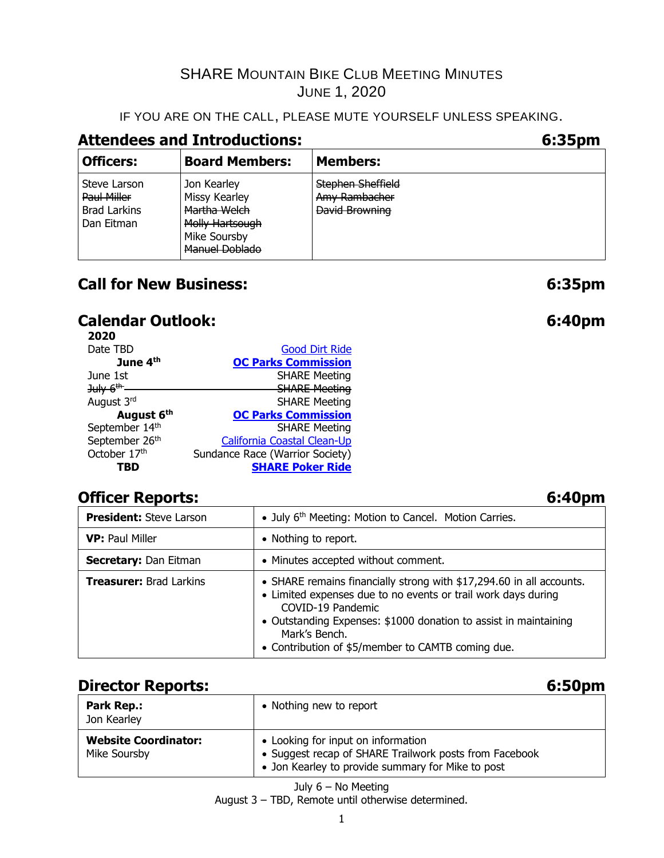# IF YOU ARE ON THE CALL, PLEASE MUTE YOURSELF UNLESS SPEAKING.

# **Attendees and Introductions: 6:35pm**

| <b>Officers:</b>                                                 | <b>Board Members:</b>                                                                                    | <b>Members:</b>                                                    |
|------------------------------------------------------------------|----------------------------------------------------------------------------------------------------------|--------------------------------------------------------------------|
| Steve Larson<br>Paul Miller<br><b>Brad Larkins</b><br>Dan Eitman | Jon Kearley<br>Missy Kearley<br>Martha Welch<br>Molly Hartsough<br>Mike Soursby<br><b>Manuel Doblado</b> | <b>Stephen Sheffield</b><br>Amy Rambacher<br><b>David Browning</b> |

# **Call for New Business: 6:35pm**

# **Calendar Outlook: 6:40pm**

| <b>Good Dirt Ride</b>           |
|---------------------------------|
| <b>OC Parks Commission</b>      |
| <b>SHARE Meeting</b>            |
| <b>SHARE Meeting</b>            |
| <b>SHARE Meeting</b>            |
| <b>OC Parks Commission</b>      |
| <b>SHARE Meeting</b>            |
| California Coastal Clean-Up     |
| Sundance Race (Warrior Society) |
| <b>SHARE Poker Ride</b>         |
|                                 |

# **Officer Reports: 6:40pm**

| <b>President:</b> Steve Larson | • July 6 <sup>th</sup> Meeting: Motion to Cancel. Motion Carries.                                                                                                                                                                                                                                    |  |  |
|--------------------------------|------------------------------------------------------------------------------------------------------------------------------------------------------------------------------------------------------------------------------------------------------------------------------------------------------|--|--|
| <b>VP: Paul Miller</b>         | • Nothing to report.                                                                                                                                                                                                                                                                                 |  |  |
| <b>Secretary: Dan Eitman</b>   | • Minutes accepted without comment.                                                                                                                                                                                                                                                                  |  |  |
| <b>Treasurer: Brad Larkins</b> | • SHARE remains financially strong with \$17,294.60 in all accounts.<br>• Limited expenses due to no events or trail work days during<br>COVID-19 Pandemic<br>• Outstanding Expenses: \$1000 donation to assist in maintaining<br>Mark's Bench.<br>• Contribution of \$5/member to CAMTB coming due. |  |  |

# **Director Reports: 6:50pm**

| <b>Park Rep.:</b><br>Jon Kearley            | • Nothing new to report                                                                                                                           |
|---------------------------------------------|---------------------------------------------------------------------------------------------------------------------------------------------------|
| <b>Website Coordinator:</b><br>Mike Soursby | • Looking for input on information<br>• Suggest recap of SHARE Trailwork posts from Facebook<br>• Jon Kearley to provide summary for Mike to post |

July 6 – No Meeting August 3 – TBD, Remote until otherwise determined.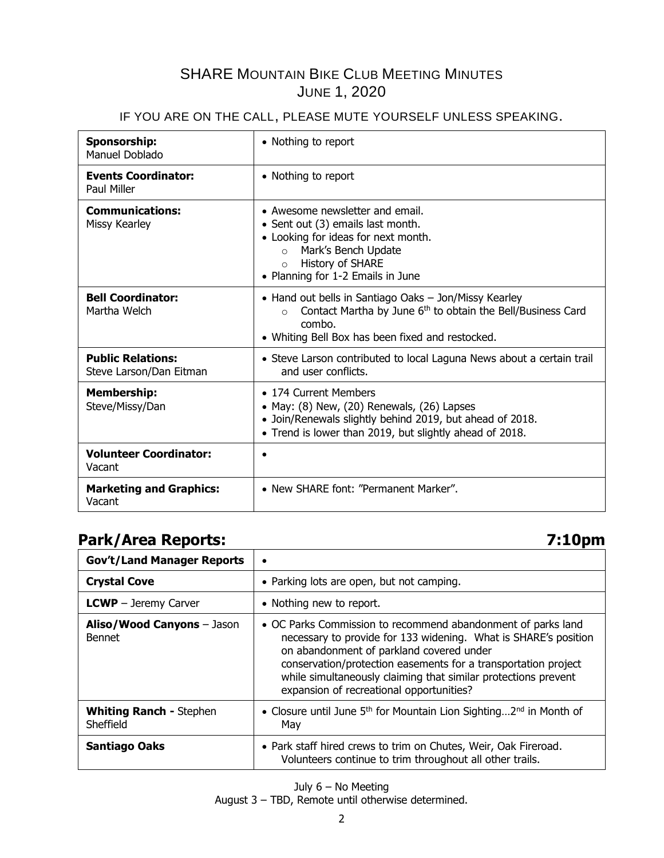## IF YOU ARE ON THE CALL, PLEASE MUTE YOURSELF UNLESS SPEAKING.

| Sponsorship:<br>Manuel Doblado                      | • Nothing to report                                                                                                                                                                                               |
|-----------------------------------------------------|-------------------------------------------------------------------------------------------------------------------------------------------------------------------------------------------------------------------|
| <b>Events Coordinator:</b><br>Paul Miller           | • Nothing to report                                                                                                                                                                                               |
| <b>Communications:</b><br>Missy Kearley             | • Awesome newsletter and email.<br>• Sent out (3) emails last month.<br>• Looking for ideas for next month.<br>Mark's Bench Update<br>$\circ$<br>History of SHARE<br>$\circ$<br>• Planning for 1-2 Emails in June |
| <b>Bell Coordinator:</b><br>Martha Welch            | • Hand out bells in Santiago Oaks - Jon/Missy Kearley<br>Contact Martha by June 6 <sup>th</sup> to obtain the Bell/Business Card<br>$\circ$<br>combo.<br>• Whiting Bell Box has been fixed and restocked.         |
| <b>Public Relations:</b><br>Steve Larson/Dan Eitman | • Steve Larson contributed to local Laguna News about a certain trail<br>and user conflicts.                                                                                                                      |
| <b>Membership:</b><br>Steve/Missy/Dan               | • 174 Current Members<br>• May: $(8)$ New, $(20)$ Renewals, $(26)$ Lapses<br>• Join/Renewals slightly behind 2019, but ahead of 2018.<br>• Trend is lower than 2019, but slightly ahead of 2018.                  |
| <b>Volunteer Coordinator:</b><br>Vacant             | $\bullet$                                                                                                                                                                                                         |
| <b>Marketing and Graphics:</b><br>Vacant            | • New SHARE font: "Permanent Marker".                                                                                                                                                                             |

**Park/Area Reports: 7:10pm Gov't/Land Manager Reports** • **Crystal Cove • Parking lots are open, but not camping. LCWP** – Jeremy Carver  $\vert \cdot \vert$  Nothing new to report. **Aliso/Wood Canyons** – Jason Bennet • OC Parks Commission to recommend abandonment of parks land necessary to provide for 133 widening. What is SHARE's position on abandonment of parkland covered under conservation/protection easements for a transportation project while simultaneously claiming that similar protections prevent expansion of recreational opportunities? **Whiting Ranch -** Stephen Sheffield • Closure until June 5<sup>th</sup> for Mountain Lion Sighting...2<sup>nd</sup> in Month of May **Santiago Oaks • Park staff hired crews to trim on Chutes, Weir, Oak Fireroad.** Volunteers continue to trim throughout all other trails.

> July 6 – No Meeting August 3 – TBD, Remote until otherwise determined.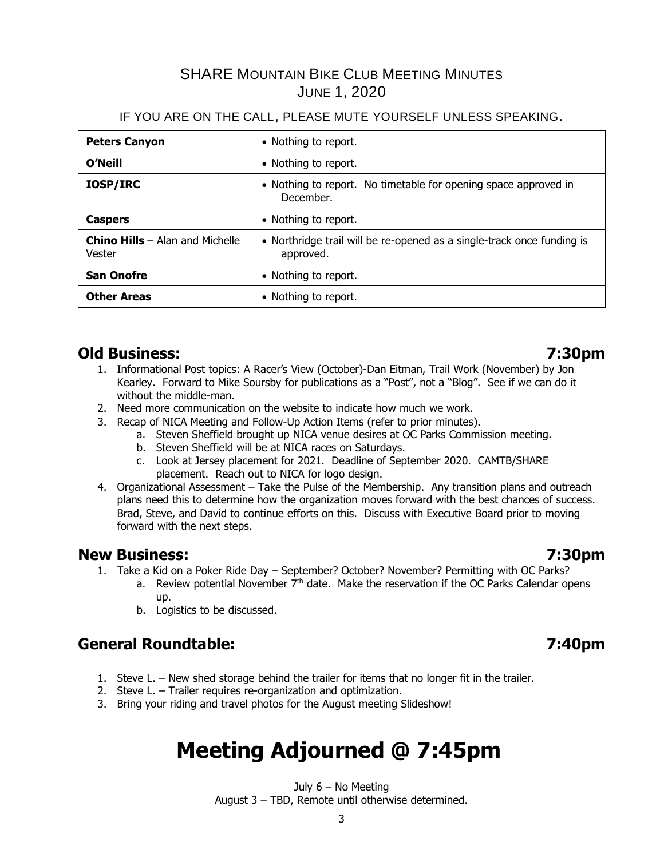## IF YOU ARE ON THE CALL, PLEASE MUTE YOURSELF UNLESS SPEAKING.

| <b>Peters Canyon</b>                               | • Nothing to report.                                                                |
|----------------------------------------------------|-------------------------------------------------------------------------------------|
| O'Neill                                            | • Nothing to report.                                                                |
| <b>IOSP/IRC</b>                                    | • Nothing to report. No timetable for opening space approved in<br>December.        |
| <b>Caspers</b>                                     | • Nothing to report.                                                                |
| <b>Chino Hills</b> $-$ Alan and Michelle<br>Vester | • Northridge trail will be re-opened as a single-track once funding is<br>approved. |
| <b>San Onofre</b>                                  | • Nothing to report.                                                                |
| <b>Other Areas</b>                                 | • Nothing to report.                                                                |

# **Old Business: 7:30pm**

- 
- 1. Informational Post topics: A Racer's View (October)-Dan Eitman, Trail Work (November) by Jon Kearley. Forward to Mike Soursby for publications as a "Post", not a "Blog". See if we can do it without the middle-man.
- 2. Need more communication on the website to indicate how much we work.
- 3. Recap of NICA Meeting and Follow-Up Action Items (refer to prior minutes).
	- a. Steven Sheffield brought up NICA venue desires at OC Parks Commission meeting.
	- b. Steven Sheffield will be at NICA races on Saturdays.
	- c. Look at Jersey placement for 2021. Deadline of September 2020. CAMTB/SHARE placement. Reach out to NICA for logo design.
- 4. Organizational Assessment Take the Pulse of the Membership. Any transition plans and outreach plans need this to determine how the organization moves forward with the best chances of success. Brad, Steve, and David to continue efforts on this. Discuss with Executive Board prior to moving forward with the next steps.

# **New Business: 7:30pm**

- 1. Take a Kid on a Poker Ride Day September? October? November? Permitting with OC Parks?
	- a. Review potential November  $7<sup>th</sup>$  date. Make the reservation if the OC Parks Calendar opens up.
		- b. Logistics to be discussed.

# **General Roundtable: 7:40pm**

- 1. Steve L. New shed storage behind the trailer for items that no longer fit in the trailer.
- 2. Steve L. Trailer requires re-organization and optimization.
- 3. Bring your riding and travel photos for the August meeting Slideshow!

# **Meeting Adjourned @ 7:45pm**

July 6 – No Meeting August 3 – TBD, Remote until otherwise determined.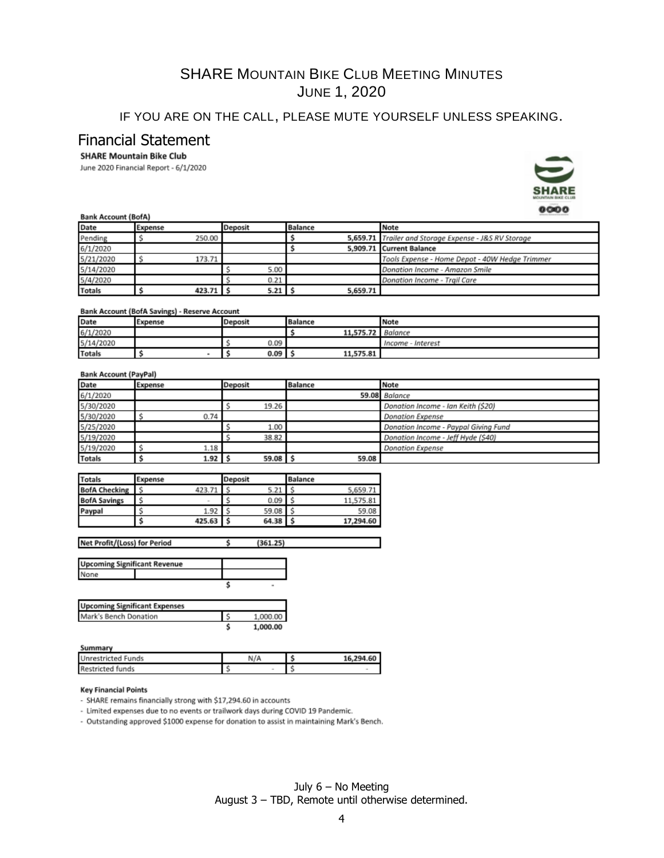# IF YOU ARE ON THE CALL, PLEASE MUTE YOURSELF UNLESS SPEAKING.

## Financial Statement

## **SHARE Mountain Bike Club**

June 2020 Financial Report - 6/1/2020



## **Bank Account (BofA)**

| Date          | Expense   | Deposit              | <b>Balance</b> | Note                                                  |  |
|---------------|-----------|----------------------|----------------|-------------------------------------------------------|--|
| Pending       | 250.00    |                      |                | 5,659.71 Trailer and Storage Expense - J&S RV Storage |  |
| 6/1/2020      |           |                      |                | 5.909.71 Current Balance                              |  |
| 5/21/2020     | 173.71    |                      |                | Tools Expense - Home Depot - 40W Hedge Trimmer        |  |
| 5/14/2020     |           | 5.00                 |                | Donation Income - Amazon Smile                        |  |
| 5/4/2020      |           | 0.21                 |                | Donation Income - Trail Care                          |  |
| <b>Totals</b> | 423.71 \$ | $5.21$ $\frac{1}{3}$ | 5,659.71       |                                                       |  |

## Bank Account (BofA Savings) - Reserve Account

| Date          | Expense | <b>Deposit</b> | <b>Balance</b> | Note                 |
|---------------|---------|----------------|----------------|----------------------|
| 6/1/2020      |         |                | 11,575.72      | Balance              |
| 5/14/2020     |         | 0.09           |                | - Interest<br>Income |
| <b>Totals</b> |         | 0.09           | 11,575.81      |                      |

## **Bank Account (PayPal)**

| Date          | Expense  | Deposit      | <b>Balance</b> | Note                                 |
|---------------|----------|--------------|----------------|--------------------------------------|
| 6/1/2020      |          |              |                | 59.08 Balance                        |
| 5/30/2020     |          | 19.26        |                | Donation Income - Ian Keith (\$20)   |
| 5/30/2020     | 0.74     |              |                | <b>Donation Expense</b>              |
| 5/25/2020     |          | 1.00         |                | Donation Income - Paypal Giving Fund |
| 5/19/2020     |          | 38.82        |                | Donation Income - Jeff Hyde (\$40)   |
| 5/19/2020     | 1.18     |              |                | <b>Donation Expense</b>              |
| <b>Totals</b> | $1.92$ : | $59.08$ \ \$ | 59.08          |                                      |

| <b>Totals</b>        | Expense |              | <b>Deposit</b> |       | <b>Balance</b> |           |
|----------------------|---------|--------------|----------------|-------|----------------|-----------|
| <b>BofA Checking</b> |         | 423.71       |                | 5.21  |                | 5,659.71  |
| <b>BofA Savings</b>  |         | <b>START</b> |                | 0.09  |                | 11,575.81 |
| Paypal               |         | 1.92         |                | 59.08 |                | 59.08     |
|                      |         | 425.63       |                | 64.38 |                | 17,294.60 |

Net Profit/(Loss) for Period  $(361.25)$ ć

| <b>Upcoming Significant Revenue</b> |  |
|-------------------------------------|--|
| None                                |  |
|                                     |  |

| <b>Upcoming Significant Expenses</b> |          |
|--------------------------------------|----------|
| Mark's Bench Donation                | 1.000.00 |
|                                      | 1.000.00 |

| m<br>n |
|--------|
|--------|

None

| <b>SULLILLER</b>          |     |           |
|---------------------------|-----|-----------|
| <b>Unrestricted Funds</b> | N/A | 16.294.60 |
| <b>Restricted funds</b>   |     |           |

## **Key Financial Points**

- SHARE remains financially strong with \$17,294.60 in accounts

- Limited expenses due to no events or trailwork days during COVID 19 Pandemic.

- Outstanding approved \$1000 expense for donation to assist in maintaining Mark's Bench.